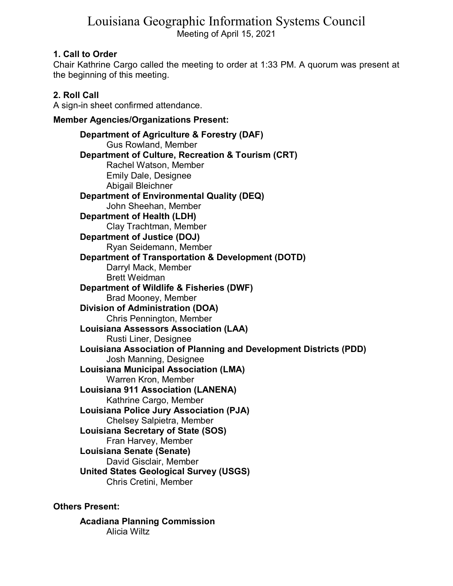# Louisiana Geographic Information Systems Council Meeting of April 15, 2021

# **1. Call to Order**

Chair Kathrine Cargo called the meeting to order at 1:33 PM. A quorum was present at the beginning of this meeting.

# **2. Roll Call**

A sign-in sheet confirmed attendance.

# **Member Agencies/Organizations Present:**

**Department of Agriculture & Forestry (DAF)** Gus Rowland, Member **Department of Culture, Recreation & Tourism (CRT)** Rachel Watson, Member Emily Dale, Designee Abigail Bleichner **Department of Environmental Quality (DEQ)** John Sheehan, Member **Department of Health (LDH)** Clay Trachtman, Member **Department of Justice (DOJ)** Ryan Seidemann, Member **Department of Transportation & Development (DOTD)** Darryl Mack, Member Brett Weidman **Department of Wildlife & Fisheries (DWF)** Brad Mooney, Member **Division of Administration (DOA)** Chris Pennington, Member **Louisiana Assessors Association (LAA)** Rusti Liner, Designee **Louisiana Association of Planning and Development Districts (PDD)** Josh Manning, Designee **Louisiana Municipal Association (LMA)** Warren Kron, Member **Louisiana 911 Association (LANENA)** Kathrine Cargo, Member **Louisiana Police Jury Association (PJA)** Chelsey Salpietra, Member **Louisiana Secretary of State (SOS)** Fran Harvey, Member **Louisiana Senate (Senate)** David Gisclair, Member **United States Geological Survey (USGS)** Chris Cretini, Member

**Others Present:**

**Acadiana Planning Commission** Alicia Wiltz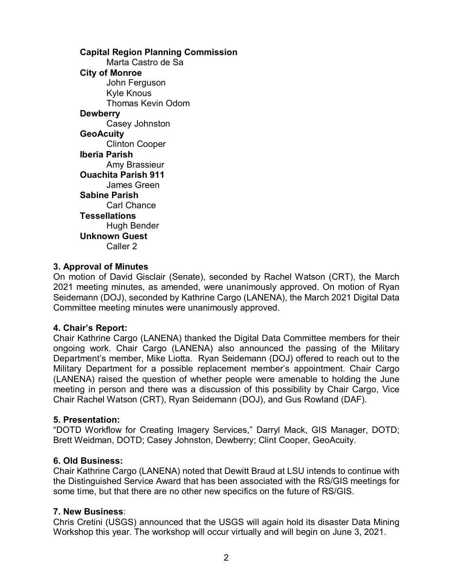**Capital Region Planning Commission** Marta Castro de Sa **City of Monroe** John Ferguson Kyle Knous Thomas Kevin Odom **Dewberry** Casey Johnston **GeoAcuity** Clinton Cooper **Iberia Parish** Amy Brassieur **Ouachita Parish 911** James Green **Sabine Parish** Carl Chance **Tessellations** Hugh Bender **Unknown Guest** Caller 2

## **3. Approval of Minutes**

On motion of David Gisclair (Senate), seconded by Rachel Watson (CRT), the March 2021 meeting minutes, as amended, were unanimously approved. On motion of Ryan Seidemann (DOJ), seconded by Kathrine Cargo (LANENA), the March 2021 Digital Data Committee meeting minutes were unanimously approved.

### **4. Chair's Report:**

Chair Kathrine Cargo (LANENA) thanked the Digital Data Committee members for their ongoing work. Chair Cargo (LANENA) also announced the passing of the Military Department's member, Mike Liotta. Ryan Seidemann (DOJ) offered to reach out to the Military Department for a possible replacement member's appointment. Chair Cargo (LANENA) raised the question of whether people were amenable to holding the June meeting in person and there was a discussion of this possibility by Chair Cargo, Vice Chair Rachel Watson (CRT), Ryan Seidemann (DOJ), and Gus Rowland (DAF).

### **5. Presentation:**

"DOTD Workflow for Creating Imagery Services," Darryl Mack, GIS Manager, DOTD; Brett Weidman, DOTD; Casey Johnston, Dewberry; Clint Cooper, GeoAcuity.

### **6. Old Business:**

Chair Kathrine Cargo (LANENA) noted that Dewitt Braud at LSU intends to continue with the Distinguished Service Award that has been associated with the RS/GIS meetings for some time, but that there are no other new specifics on the future of RS/GIS.

### **7. New Business**:

Chris Cretini (USGS) announced that the USGS will again hold its disaster Data Mining Workshop this year. The workshop will occur virtually and will begin on June 3, 2021.